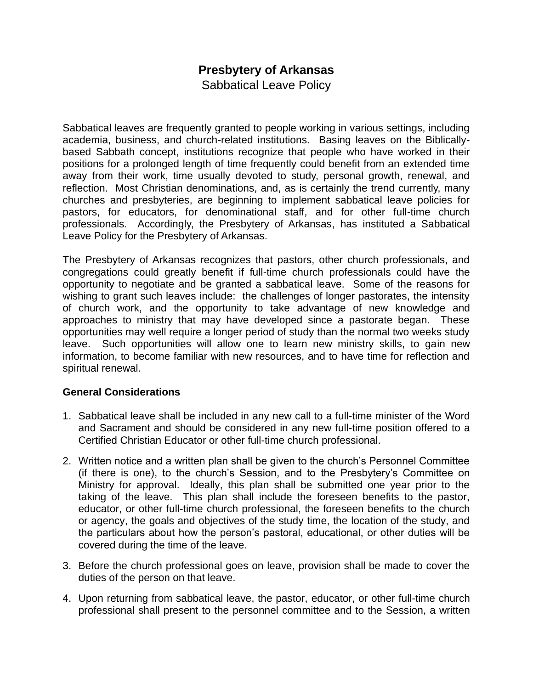## **Presbytery of Arkansas**

Sabbatical Leave Policy

Sabbatical leaves are frequently granted to people working in various settings, including academia, business, and church-related institutions. Basing leaves on the Biblicallybased Sabbath concept, institutions recognize that people who have worked in their positions for a prolonged length of time frequently could benefit from an extended time away from their work, time usually devoted to study, personal growth, renewal, and reflection. Most Christian denominations, and, as is certainly the trend currently, many churches and presbyteries, are beginning to implement sabbatical leave policies for pastors, for educators, for denominational staff, and for other full-time church professionals. Accordingly, the Presbytery of Arkansas, has instituted a Sabbatical Leave Policy for the Presbytery of Arkansas.

The Presbytery of Arkansas recognizes that pastors, other church professionals, and congregations could greatly benefit if full-time church professionals could have the opportunity to negotiate and be granted a sabbatical leave. Some of the reasons for wishing to grant such leaves include: the challenges of longer pastorates, the intensity of church work, and the opportunity to take advantage of new knowledge and approaches to ministry that may have developed since a pastorate began. These opportunities may well require a longer period of study than the normal two weeks study leave. Such opportunities will allow one to learn new ministry skills, to gain new information, to become familiar with new resources, and to have time for reflection and spiritual renewal.

## **General Considerations**

- 1. Sabbatical leave shall be included in any new call to a full-time minister of the Word and Sacrament and should be considered in any new full-time position offered to a Certified Christian Educator or other full-time church professional.
- 2. Written notice and a written plan shall be given to the church's Personnel Committee (if there is one), to the church's Session, and to the Presbytery's Committee on Ministry for approval. Ideally, this plan shall be submitted one year prior to the taking of the leave. This plan shall include the foreseen benefits to the pastor, educator, or other full-time church professional, the foreseen benefits to the church or agency, the goals and objectives of the study time, the location of the study, and the particulars about how the person's pastoral, educational, or other duties will be covered during the time of the leave.
- 3. Before the church professional goes on leave, provision shall be made to cover the duties of the person on that leave.
- 4. Upon returning from sabbatical leave, the pastor, educator, or other full-time church professional shall present to the personnel committee and to the Session, a written